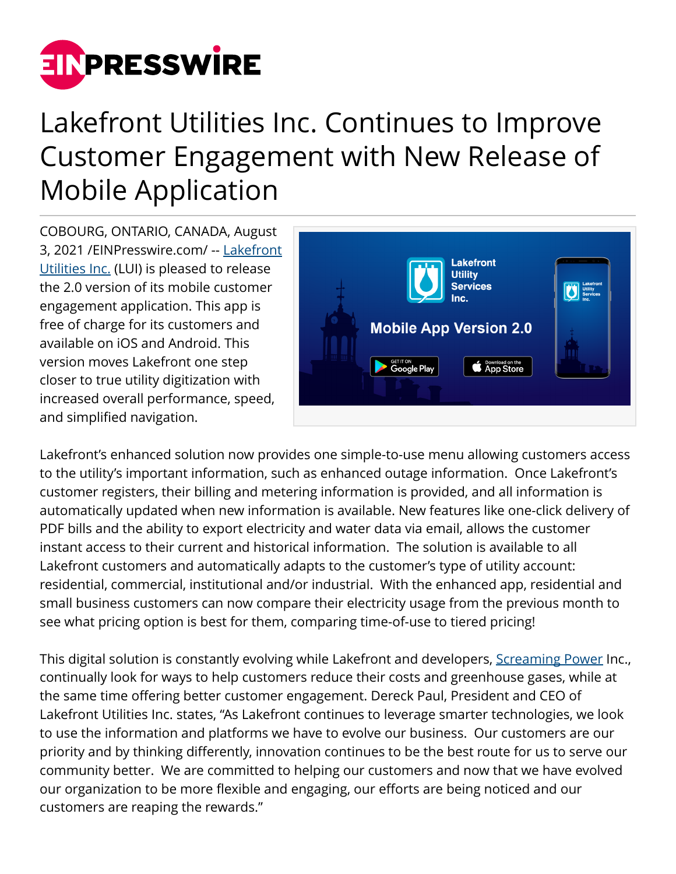

## Lakefront Utilities Inc. Continues to Improve Customer Engagement with New Release of Mobile Application

COBOURG, ONTARIO, CANADA, August 3, 2021 /[EINPresswire.com/](http://www.einpresswire.com) -- [Lakefront](https://www.lakefrontutilities.com/2021/07/07/lakefront-utilities-inc-continues-to-improve-customer-engagement-with-new-release-of-mobile-application/) [Utilities Inc.](https://www.lakefrontutilities.com/2021/07/07/lakefront-utilities-inc-continues-to-improve-customer-engagement-with-new-release-of-mobile-application/) (LUI) is pleased to release the 2.0 version of its mobile customer engagement application. This app is free of charge for its customers and available on iOS and Android. This version moves Lakefront one step closer to true utility digitization with increased overall performance, speed, and simplified navigation.



Lakefront's enhanced solution now provides one simple-to-use menu allowing customers access to the utility's important information, such as enhanced outage information. Once Lakefront's customer registers, their billing and metering information is provided, and all information is automatically updated when new information is available. New features like one-click delivery of PDF bills and the ability to export electricity and water data via email, allows the customer instant access to their current and historical information. The solution is available to all Lakefront customers and automatically adapts to the customer's type of utility account: residential, commercial, institutional and/or industrial. With the enhanced app, residential and small business customers can now compare their electricity usage from the previous month to see what pricing option is best for them, comparing time-of-use to tiered pricing!

This digital solution is constantly evolving while Lakefront and developers, [Screaming Power](https://www.screamingpower.ca/lakefront-utilities-inc-continues-to-improve-customer-engagement/) Inc., continually look for ways to help customers reduce their costs and greenhouse gases, while at the same time offering better customer engagement. Dereck Paul, President and CEO of Lakefront Utilities Inc. states, "As Lakefront continues to leverage smarter technologies, we look to use the information and platforms we have to evolve our business. Our customers are our priority and by thinking differently, innovation continues to be the best route for us to serve our community better. We are committed to helping our customers and now that we have evolved our organization to be more flexible and engaging, our efforts are being noticed and our customers are reaping the rewards."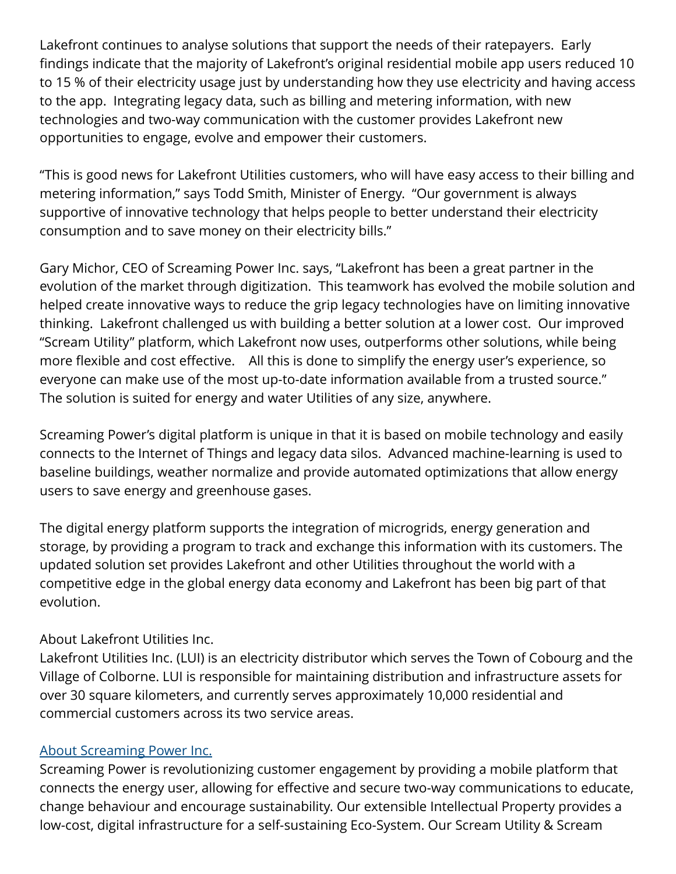Lakefront continues to analyse solutions that support the needs of their ratepayers. Early findings indicate that the majority of Lakefront's original residential mobile app users reduced 10 to 15 % of their electricity usage just by understanding how they use electricity and having access to the app. Integrating legacy data, such as billing and metering information, with new technologies and two-way communication with the customer provides Lakefront new opportunities to engage, evolve and empower their customers.

"This is good news for Lakefront Utilities customers, who will have easy access to their billing and metering information," says Todd Smith, Minister of Energy. "Our government is always supportive of innovative technology that helps people to better understand their electricity consumption and to save money on their electricity bills."

Gary Michor, CEO of Screaming Power Inc. says, "Lakefront has been a great partner in the evolution of the market through digitization. This teamwork has evolved the mobile solution and helped create innovative ways to reduce the grip legacy technologies have on limiting innovative thinking. Lakefront challenged us with building a better solution at a lower cost. Our improved "Scream Utility" platform, which Lakefront now uses, outperforms other solutions, while being more flexible and cost effective. All this is done to simplify the energy user's experience, so everyone can make use of the most up-to-date information available from a trusted source." The solution is suited for energy and water Utilities of any size, anywhere.

Screaming Power's digital platform is unique in that it is based on mobile technology and easily connects to the Internet of Things and legacy data silos. Advanced machine-learning is used to baseline buildings, weather normalize and provide automated optimizations that allow energy users to save energy and greenhouse gases.

The digital energy platform supports the integration of microgrids, energy generation and storage, by providing a program to track and exchange this information with its customers. The updated solution set provides Lakefront and other Utilities throughout the world with a competitive edge in the global energy data economy and Lakefront has been big part of that evolution.

## About Lakefront Utilities Inc.

Lakefront Utilities Inc. (LUI) is an electricity distributor which serves the Town of Cobourg and the Village of Colborne. LUI is responsible for maintaining distribution and infrastructure assets for over 30 square kilometers, and currently serves approximately 10,000 residential and commercial customers across its two service areas.

## [About Screaming Power Inc.](https://www.screamingpower.ca/)

Screaming Power is revolutionizing customer engagement by providing a mobile platform that connects the energy user, allowing for effective and secure two-way communications to educate, change behaviour and encourage sustainability. Our extensible Intellectual Property provides a low-cost, digital infrastructure for a self-sustaining Eco-System. Our Scream Utility & Scream